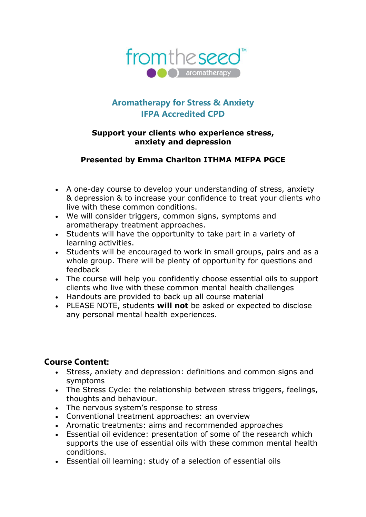

# **Aromatherapy for Stress & Anxiety IFPA Accredited CPD**

#### **Support your clients who experience stress, anxiety and depression**

#### **Presented by Emma Charlton ITHMA MIFPA PGCE**

- A one-day course to develop your understanding of stress, anxiety & depression & to increase your confidence to treat your clients who live with these common conditions.
- We will consider triggers, common signs, symptoms and aromatherapy treatment approaches.
- Students will have the opportunity to take part in a variety of learning activities.
- Students will be encouraged to work in small groups, pairs and as a whole group. There will be plenty of opportunity for questions and feedback
- The course will help you confidently choose essential oils to support clients who live with these common mental health challenges
- Handouts are provided to back up all course material
- PLEASE NOTE, students **will not** be asked or expected to disclose any personal mental health experiences.

#### **Course Content:**

- Stress, anxiety and depression: definitions and common signs and symptoms
- The Stress Cycle: the relationship between stress triggers, feelings, thoughts and behaviour.
- The nervous system's response to stress
- Conventional treatment approaches: an overview
- Aromatic treatments: aims and recommended approaches
- Essential oil evidence: presentation of some of the research which supports the use of essential oils with these common mental health conditions.
- Essential oil learning: study of a selection of essential oils